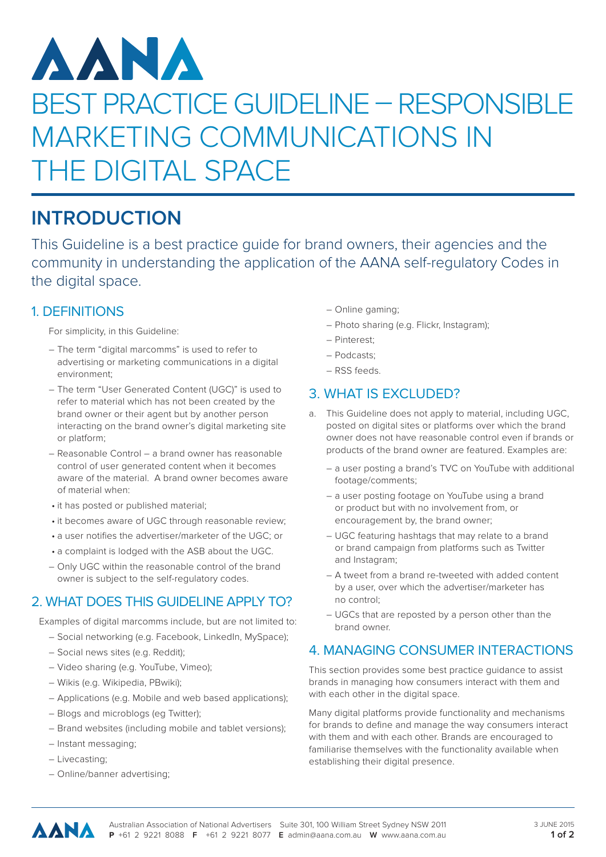# AANA BEST PRACTICE GUIDELINE – RESPONSIBLE MARKETING COMMUNICATIONS IN THE DIGITAL SPACE

## **INTRODUCTION**

This Guideline is a best practice guide for brand owners, their agencies and the community in understanding the application of the AANA self-regulatory Codes in the digital space.

#### 1. DEFINITIONS

For simplicity, in this Guideline:

- The term "digital marcomms" is used to refer to advertising or marketing communications in a digital environment;
- The term "User Generated Content (UGC)" is used to refer to material which has not been created by the brand owner or their agent but by another person interacting on the brand owner's digital marketing site or platform;
- Reasonable Control a brand owner has reasonable control of user generated content when it becomes aware of the material. A brand owner becomes aware of material when:
- it has posted or published material;
- it becomes aware of UGC through reasonable review;
- a user notifies the advertiser/marketer of the UGC; or
- a complaint is lodged with the ASB about the UGC.
- Only UGC within the reasonable control of the brand owner is subject to the self-regulatory codes.

#### 2. WHAT DOES THIS GUIDELINE APPLY TO?

Examples of digital marcomms include, but are not limited to:

- Social networking (e.g. Facebook, LinkedIn, MySpace);
- Social news sites (e.g. Reddit);
- Video sharing (e.g. YouTube, Vimeo);
- Wikis (e.g. Wikipedia, PBwiki);
- Applications (e.g. Mobile and web based applications);
- Blogs and microblogs (eg Twitter);
- Brand websites (including mobile and tablet versions);
- Instant messaging;
- Livecasting;
- Online/banner advertising;
- Online gaming;
- Photo sharing (e.g. Flickr, Instagram);
- Pinterest;
- Podcasts;
- RSS feeds.

#### 3. WHAT IS EXCLUDED?

- a. This Guideline does not apply to material, including UGC, posted on digital sites or platforms over which the brand owner does not have reasonable control even if brands or products of the brand owner are featured. Examples are:
	- a user posting a brand's TVC on YouTube with additional footage/comments;
	- a user posting footage on YouTube using a brand or product but with no involvement from, or encouragement by, the brand owner;
	- UGC featuring hashtags that may relate to a brand or brand campaign from platforms such as Twitter and Instagram;
	- A tweet from a brand re-tweeted with added content by a user, over which the advertiser/marketer has no control;
	- UGCs that are reposted by a person other than the brand owner.

#### 4. MANAGING CONSUMER INTERACTIONS

This section provides some best practice guidance to assist brands in managing how consumers interact with them and with each other in the digital space.

Many digital platforms provide functionality and mechanisms for brands to define and manage the way consumers interact with them and with each other. Brands are encouraged to familiarise themselves with the functionality available when establishing their digital presence.